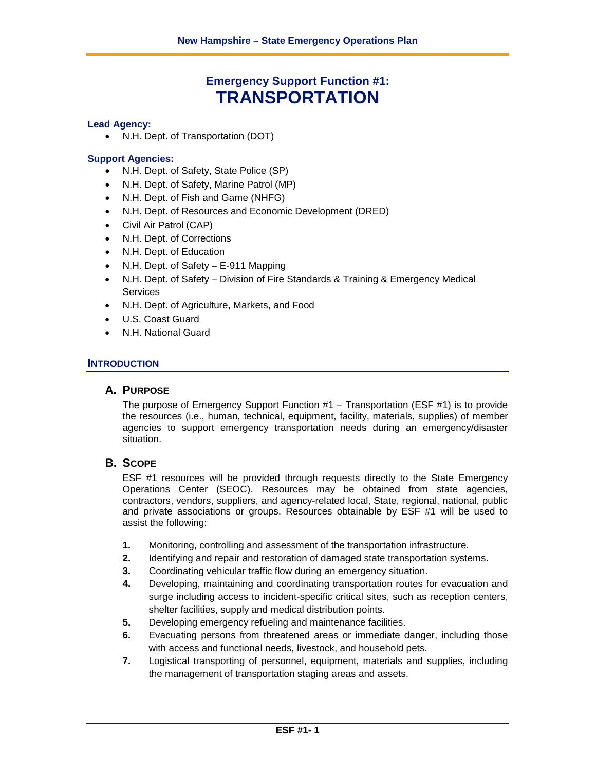# **Emergency Support Function #1: TRANSPORTATION**

#### **Lead Agency:**

• N.H. Dept. of Transportation (DOT)

#### **Support Agencies:**

- N.H. Dept. of Safety, State Police (SP)
- N.H. Dept. of Safety, Marine Patrol (MP)
- N.H. Dept. of Fish and Game (NHFG)
- N.H. Dept. of Resources and Economic Development (DRED)
- Civil Air Patrol (CAP)
- N.H. Dept. of Corrections
- N.H. Dept. of Education
- N.H. Dept. of Safety E-911 Mapping
- N.H. Dept. of Safety Division of Fire Standards & Training & Emergency Medical **Services**
- N.H. Dept. of Agriculture, Markets, and Food
- U.S. Coast Guard
- N.H. National Guard

#### **INTRODUCTION**

## **A. PURPOSE**

The purpose of Emergency Support Function #1 – Transportation (ESF #1) is to provide the resources (i.e., human, technical, equipment, facility, materials, supplies) of member agencies to support emergency transportation needs during an emergency/disaster situation.

#### **B. SCOPE**

ESF #1 resources will be provided through requests directly to the State Emergency Operations Center (SEOC). Resources may be obtained from state agencies, contractors, vendors, suppliers, and agency-related local, State, regional, national, public and private associations or groups. Resources obtainable by ESF #1 will be used to assist the following:

- **1.** Monitoring, controlling and assessment of the transportation infrastructure.
- **2.** Identifying and repair and restoration of damaged state transportation systems.
- **3.** Coordinating vehicular traffic flow during an emergency situation.
- **4.** Developing, maintaining and coordinating transportation routes for evacuation and surge including access to incident-specific critical sites, such as reception centers, shelter facilities, supply and medical distribution points.
- **5.** Developing emergency refueling and maintenance facilities.
- **6.** Evacuating persons from threatened areas or immediate danger, including those with access and functional needs, livestock, and household pets.
- **7.** Logistical transporting of personnel, equipment, materials and supplies, including the management of transportation staging areas and assets.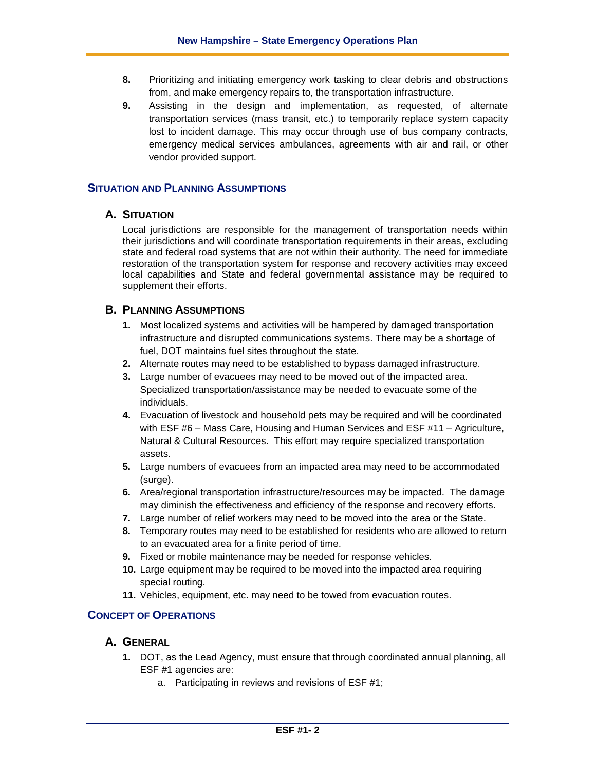- **8.** Prioritizing and initiating emergency work tasking to clear debris and obstructions from, and make emergency repairs to, the transportation infrastructure.
- **9.** Assisting in the design and implementation, as requested, of alternate transportation services (mass transit, etc.) to temporarily replace system capacity lost to incident damage. This may occur through use of bus company contracts, emergency medical services ambulances, agreements with air and rail, or other vendor provided support.

## **SITUATION AND PLANNING ASSUMPTIONS**

## **A. SITUATION**

Local jurisdictions are responsible for the management of transportation needs within their jurisdictions and will coordinate transportation requirements in their areas, excluding state and federal road systems that are not within their authority. The need for immediate restoration of the transportation system for response and recovery activities may exceed local capabilities and State and federal governmental assistance may be required to supplement their efforts.

## **B. PLANNING ASSUMPTIONS**

- **1.** Most localized systems and activities will be hampered by damaged transportation infrastructure and disrupted communications systems. There may be a shortage of fuel, DOT maintains fuel sites throughout the state.
- **2.** Alternate routes may need to be established to bypass damaged infrastructure.
- **3.** Large number of evacuees may need to be moved out of the impacted area. Specialized transportation/assistance may be needed to evacuate some of the individuals.
- **4.** Evacuation of livestock and household pets may be required and will be coordinated with ESF #6 – Mass Care, Housing and Human Services and ESF #11 – Agriculture, Natural & Cultural Resources. This effort may require specialized transportation assets.
- **5.** Large numbers of evacuees from an impacted area may need to be accommodated (surge).
- **6.** Area/regional transportation infrastructure/resources may be impacted. The damage may diminish the effectiveness and efficiency of the response and recovery efforts.
- **7.** Large number of relief workers may need to be moved into the area or the State.
- **8.** Temporary routes may need to be established for residents who are allowed to return to an evacuated area for a finite period of time.
- **9.** Fixed or mobile maintenance may be needed for response vehicles.
- **10.** Large equipment may be required to be moved into the impacted area requiring special routing.
- **11.** Vehicles, equipment, etc. may need to be towed from evacuation routes.

#### **CONCEPT OF OPERATIONS**

## **A. GENERAL**

- **1.** DOT, as the Lead Agency, must ensure that through coordinated annual planning, all ESF #1 agencies are:
	- a. Participating in reviews and revisions of ESF #1;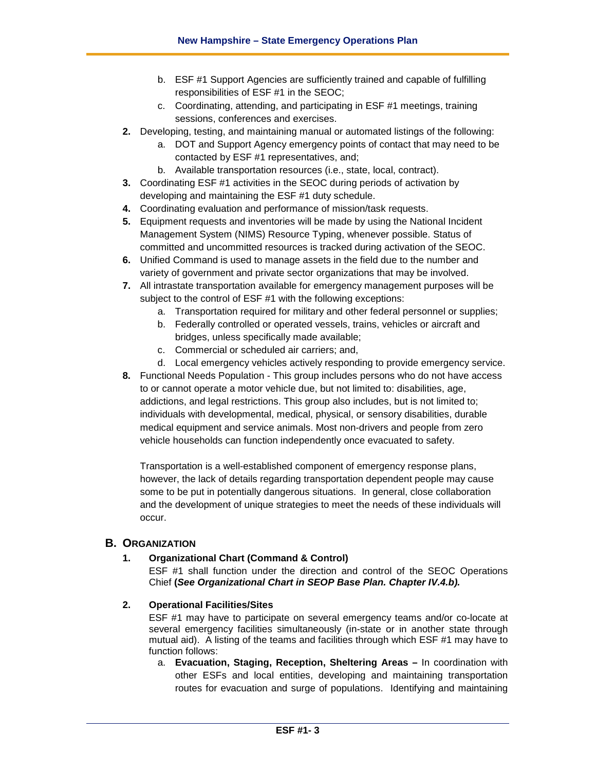- b. ESF #1 Support Agencies are sufficiently trained and capable of fulfilling responsibilities of ESF #1 in the SEOC;
- c. Coordinating, attending, and participating in ESF #1 meetings, training sessions, conferences and exercises.
- **2.** Developing, testing, and maintaining manual or automated listings of the following:
	- a. DOT and Support Agency emergency points of contact that may need to be contacted by ESF #1 representatives, and;
	- b. Available transportation resources (i.e., state, local, contract).
- **3.** Coordinating ESF #1 activities in the SEOC during periods of activation by developing and maintaining the ESF #1 duty schedule.
- **4.** Coordinating evaluation and performance of mission/task requests.
- **5.** Equipment requests and inventories will be made by using the National Incident Management System (NIMS) Resource Typing, whenever possible. Status of committed and uncommitted resources is tracked during activation of the SEOC.
- **6.** Unified Command is used to manage assets in the field due to the number and variety of government and private sector organizations that may be involved.
- **7.** All intrastate transportation available for emergency management purposes will be subject to the control of ESF #1 with the following exceptions:
	- a. Transportation required for military and other federal personnel or supplies;
	- b. Federally controlled or operated vessels, trains, vehicles or aircraft and bridges, unless specifically made available;
	- c. Commercial or scheduled air carriers; and,
	- d. Local emergency vehicles actively responding to provide emergency service.
- **8.** Functional Needs Population This group includes persons who do not have access to or cannot operate a motor vehicle due, but not limited to: disabilities, age, addictions, and legal restrictions. This group also includes, but is not limited to; individuals with developmental, medical, physical, or sensory disabilities, durable medical equipment and service animals. Most non-drivers and people from zero vehicle households can function independently once evacuated to safety.

Transportation is a well-established component of emergency response plans, however, the lack of details regarding transportation dependent people may cause some to be put in potentially dangerous situations. In general, close collaboration and the development of unique strategies to meet the needs of these individuals will occur.

# **B. ORGANIZATION**

#### **1. Organizational Chart (Command & Control)**

ESF #1 shall function under the direction and control of the SEOC Operations Chief **(***See Organizational Chart in SEOP Base Plan. Chapter IV.4.b).*

#### **2. Operational Facilities/Sites**

ESF #1 may have to participate on several emergency teams and/or co-locate at several emergency facilities simultaneously (in-state or in another state through mutual aid). A listing of the teams and facilities through which ESF #1 may have to function follows:

a. **Evacuation, Staging, Reception, Sheltering Areas –** In coordination with other ESFs and local entities, developing and maintaining transportation routes for evacuation and surge of populations. Identifying and maintaining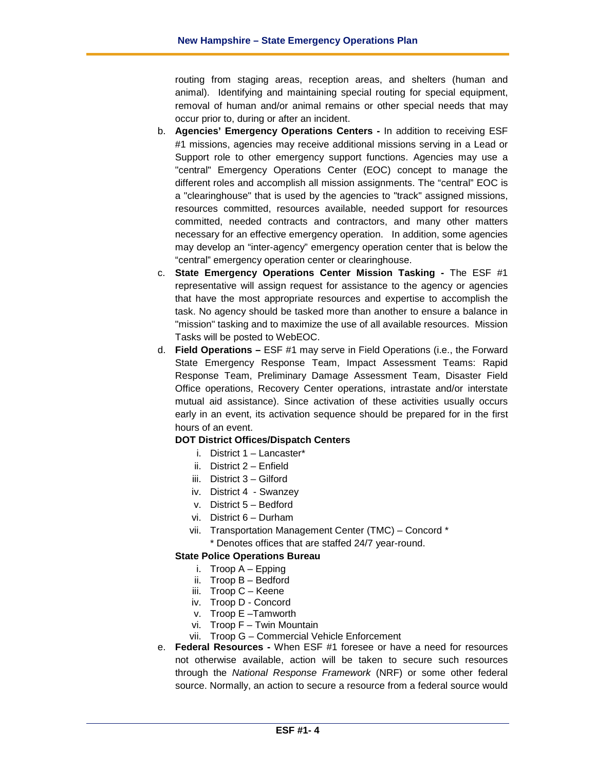routing from staging areas, reception areas, and shelters (human and animal). Identifying and maintaining special routing for special equipment, removal of human and/or animal remains or other special needs that may occur prior to, during or after an incident.

- b. **Agencies' Emergency Operations Centers -** In addition to receiving ESF #1 missions, agencies may receive additional missions serving in a Lead or Support role to other emergency support functions. Agencies may use a "central" Emergency Operations Center (EOC) concept to manage the different roles and accomplish all mission assignments. The "central" EOC is a "clearinghouse" that is used by the agencies to "track" assigned missions, resources committed, resources available, needed support for resources committed, needed contracts and contractors, and many other matters necessary for an effective emergency operation. In addition, some agencies may develop an "inter-agency" emergency operation center that is below the "central" emergency operation center or clearinghouse.
- c. **State Emergency Operations Center Mission Tasking -** The ESF #1 representative will assign request for assistance to the agency or agencies that have the most appropriate resources and expertise to accomplish the task. No agency should be tasked more than another to ensure a balance in "mission" tasking and to maximize the use of all available resources. Mission Tasks will be posted to WebEOC.
- d. **Field Operations –** ESF #1 may serve in Field Operations (i.e., the Forward State Emergency Response Team, Impact Assessment Teams: Rapid Response Team, Preliminary Damage Assessment Team, Disaster Field Office operations, Recovery Center operations, intrastate and/or interstate mutual aid assistance). Since activation of these activities usually occurs early in an event, its activation sequence should be prepared for in the first hours of an event.

#### **DOT District Offices/Dispatch Centers**

- i. District 1 Lancaster\*
- ii. District 2 Enfield
- iii. District 3 Gilford
- iv. District 4 Swanzey
- v. District 5 Bedford
- vi. District 6 Durham
- vii. Transportation Management Center (TMC) Concord \* \* Denotes offices that are staffed 24/7 year-round.

#### **State Police Operations Bureau**

- i. Troop A Epping
- ii. Troop B Bedford
- iii. Troop C Keene
- iv. Troop D Concord
- v. Troop E –Tamworth
- vi. Troop F Twin Mountain
- vii. Troop G Commercial Vehicle Enforcement
- e. **Federal Resources -** When ESF #1 foresee or have a need for resources not otherwise available, action will be taken to secure such resources through the *National Response Framework* (NRF) or some other federal source. Normally, an action to secure a resource from a federal source would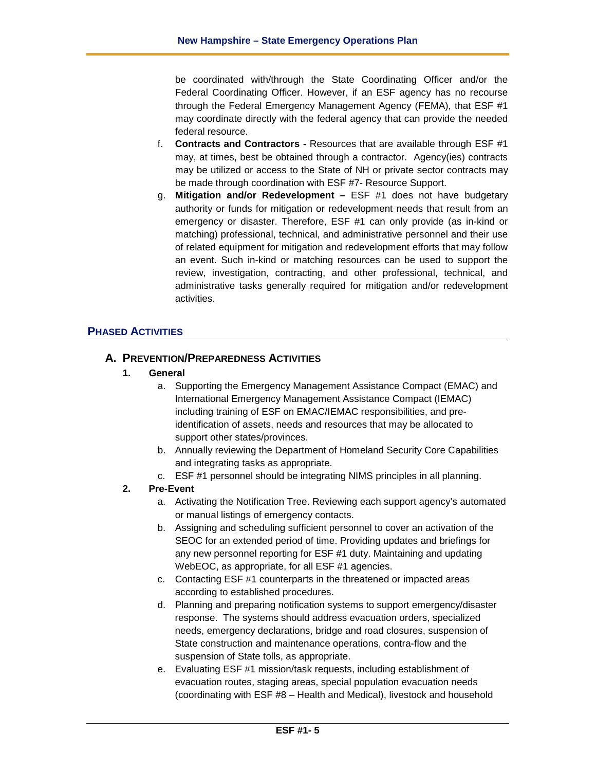be coordinated with/through the State Coordinating Officer and/or the Federal Coordinating Officer. However, if an ESF agency has no recourse through the Federal Emergency Management Agency (FEMA), that ESF #1 may coordinate directly with the federal agency that can provide the needed federal resource.

- f. **Contracts and Contractors -** Resources that are available through ESF #1 may, at times, best be obtained through a contractor. Agency(ies) contracts may be utilized or access to the State of NH or private sector contracts may be made through coordination with ESF #7- Resource Support.
- g. **Mitigation and/or Redevelopment –** ESF #1 does not have budgetary authority or funds for mitigation or redevelopment needs that result from an emergency or disaster. Therefore, ESF #1 can only provide (as in-kind or matching) professional, technical, and administrative personnel and their use of related equipment for mitigation and redevelopment efforts that may follow an event. Such in-kind or matching resources can be used to support the review, investigation, contracting, and other professional, technical, and administrative tasks generally required for mitigation and/or redevelopment activities.

# **PHASED ACTIVITIES**

#### **A. PREVENTION/PREPAREDNESS ACTIVITIES**

#### **1. General**

- a. Supporting the Emergency Management Assistance Compact (EMAC) and International Emergency Management Assistance Compact (IEMAC) including training of ESF on EMAC/IEMAC responsibilities, and preidentification of assets, needs and resources that may be allocated to support other states/provinces.
- b. Annually reviewing the Department of Homeland Security Core Capabilities and integrating tasks as appropriate.
- c. ESF #1 personnel should be integrating NIMS principles in all planning.

#### **2. Pre-Event**

- a. Activating the Notification Tree. Reviewing each support agency's automated or manual listings of emergency contacts.
- b. Assigning and scheduling sufficient personnel to cover an activation of the SEOC for an extended period of time. Providing updates and briefings for any new personnel reporting for ESF #1 duty. Maintaining and updating WebEOC, as appropriate, for all ESF #1 agencies.
- c. Contacting ESF #1 counterparts in the threatened or impacted areas according to established procedures.
- d. Planning and preparing notification systems to support emergency/disaster response. The systems should address evacuation orders, specialized needs, emergency declarations, bridge and road closures, suspension of State construction and maintenance operations, contra-flow and the suspension of State tolls, as appropriate.
- e. Evaluating ESF #1 mission/task requests, including establishment of evacuation routes, staging areas, special population evacuation needs (coordinating with ESF #8 – Health and Medical), livestock and household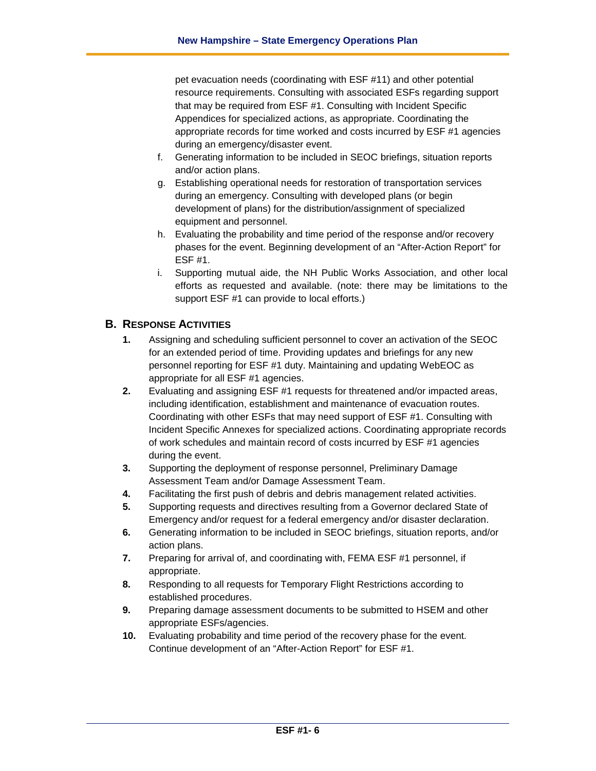pet evacuation needs (coordinating with ESF #11) and other potential resource requirements. Consulting with associated ESFs regarding support that may be required from ESF #1. Consulting with Incident Specific Appendices for specialized actions, as appropriate. Coordinating the appropriate records for time worked and costs incurred by ESF #1 agencies during an emergency/disaster event.

- f. Generating information to be included in SEOC briefings, situation reports and/or action plans.
- g. Establishing operational needs for restoration of transportation services during an emergency. Consulting with developed plans (or begin development of plans) for the distribution/assignment of specialized equipment and personnel.
- h. Evaluating the probability and time period of the response and/or recovery phases for the event. Beginning development of an "After-Action Report" for ESF #1.
- i. Supporting mutual aide, the NH Public Works Association, and other local efforts as requested and available. (note: there may be limitations to the support ESF #1 can provide to local efforts.)

## **B. RESPONSE ACTIVITIES**

- **1.** Assigning and scheduling sufficient personnel to cover an activation of the SEOC for an extended period of time. Providing updates and briefings for any new personnel reporting for ESF #1 duty. Maintaining and updating WebEOC as appropriate for all ESF #1 agencies.
- **2.** Evaluating and assigning ESF #1 requests for threatened and/or impacted areas, including identification, establishment and maintenance of evacuation routes. Coordinating with other ESFs that may need support of ESF #1. Consulting with Incident Specific Annexes for specialized actions. Coordinating appropriate records of work schedules and maintain record of costs incurred by ESF #1 agencies during the event.
- **3.** Supporting the deployment of response personnel, Preliminary Damage Assessment Team and/or Damage Assessment Team.
- **4.** Facilitating the first push of debris and debris management related activities.
- **5.** Supporting requests and directives resulting from a Governor declared State of Emergency and/or request for a federal emergency and/or disaster declaration.
- **6.** Generating information to be included in SEOC briefings, situation reports, and/or action plans.
- **7.** Preparing for arrival of, and coordinating with, FEMA ESF #1 personnel, if appropriate.
- **8.** Responding to all requests for Temporary Flight Restrictions according to established procedures.
- **9.** Preparing damage assessment documents to be submitted to HSEM and other appropriate ESFs/agencies.
- **10.** Evaluating probability and time period of the recovery phase for the event. Continue development of an "After-Action Report" for ESF #1.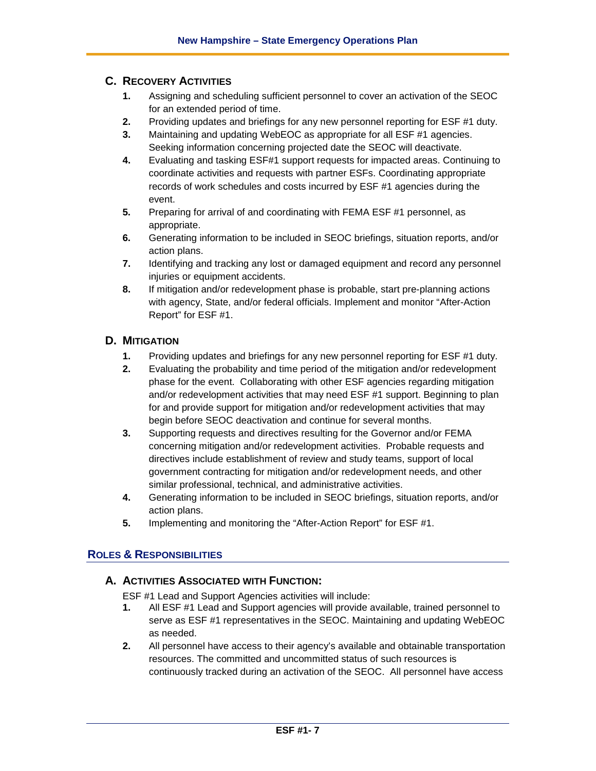# **C. RECOVERY ACTIVITIES**

- **1.** Assigning and scheduling sufficient personnel to cover an activation of the SEOC for an extended period of time.
- **2.** Providing updates and briefings for any new personnel reporting for ESF #1 duty.
- **3.** Maintaining and updating WebEOC as appropriate for all ESF #1 agencies. Seeking information concerning projected date the SEOC will deactivate.
- **4.** Evaluating and tasking ESF#1 support requests for impacted areas. Continuing to coordinate activities and requests with partner ESFs. Coordinating appropriate records of work schedules and costs incurred by ESF #1 agencies during the event.
- **5.** Preparing for arrival of and coordinating with FEMA ESF #1 personnel, as appropriate.
- **6.** Generating information to be included in SEOC briefings, situation reports, and/or action plans.
- **7.** Identifying and tracking any lost or damaged equipment and record any personnel injuries or equipment accidents.
- **8.** If mitigation and/or redevelopment phase is probable, start pre-planning actions with agency, State, and/or federal officials. Implement and monitor "After-Action Report" for ESF #1.

# **D. MITIGATION**

- **1.** Providing updates and briefings for any new personnel reporting for ESF #1 duty.
- **2.** Evaluating the probability and time period of the mitigation and/or redevelopment phase for the event. Collaborating with other ESF agencies regarding mitigation and/or redevelopment activities that may need ESF #1 support. Beginning to plan for and provide support for mitigation and/or redevelopment activities that may begin before SEOC deactivation and continue for several months.
- **3.** Supporting requests and directives resulting for the Governor and/or FEMA concerning mitigation and/or redevelopment activities. Probable requests and directives include establishment of review and study teams, support of local government contracting for mitigation and/or redevelopment needs, and other similar professional, technical, and administrative activities.
- **4.** Generating information to be included in SEOC briefings, situation reports, and/or action plans.
- **5.** Implementing and monitoring the "After-Action Report" for ESF #1.

# **ROLES & RESPONSIBILITIES**

# **A. ACTIVITIES ASSOCIATED WITH FUNCTION:**

ESF #1 Lead and Support Agencies activities will include:

- **1.** All ESF #1 Lead and Support agencies will provide available, trained personnel to serve as ESF #1 representatives in the SEOC. Maintaining and updating WebEOC as needed.
- **2.** All personnel have access to their agency's available and obtainable transportation resources. The committed and uncommitted status of such resources is continuously tracked during an activation of the SEOC. All personnel have access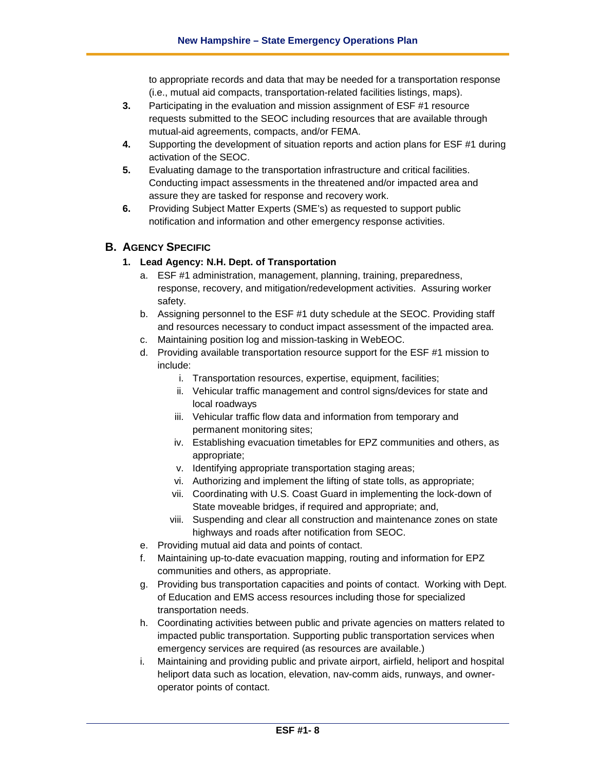to appropriate records and data that may be needed for a transportation response (i.e., mutual aid compacts, transportation-related facilities listings, maps).

- **3.** Participating in the evaluation and mission assignment of ESF #1 resource requests submitted to the SEOC including resources that are available through mutual-aid agreements, compacts, and/or FEMA.
- **4.** Supporting the development of situation reports and action plans for ESF #1 during activation of the SEOC.
- **5.** Evaluating damage to the transportation infrastructure and critical facilities. Conducting impact assessments in the threatened and/or impacted area and assure they are tasked for response and recovery work.
- **6.** Providing Subject Matter Experts (SME's) as requested to support public notification and information and other emergency response activities.

# **B. AGENCY SPECIFIC**

## **1. Lead Agency: N.H. Dept. of Transportation**

- a. ESF #1 administration, management, planning, training, preparedness, response, recovery, and mitigation/redevelopment activities. Assuring worker safety.
- b. Assigning personnel to the ESF #1 duty schedule at the SEOC. Providing staff and resources necessary to conduct impact assessment of the impacted area.
- c. Maintaining position log and mission-tasking in WebEOC.
- d. Providing available transportation resource support for the ESF #1 mission to include:
	- i. Transportation resources, expertise, equipment, facilities;
	- ii. Vehicular traffic management and control signs/devices for state and local roadways
	- iii. Vehicular traffic flow data and information from temporary and permanent monitoring sites;
	- iv. Establishing evacuation timetables for EPZ communities and others, as appropriate;
	- v. Identifying appropriate transportation staging areas;
	- vi. Authorizing and implement the lifting of state tolls, as appropriate;
	- vii. Coordinating with U.S. Coast Guard in implementing the lock-down of State moveable bridges, if required and appropriate; and,
	- viii. Suspending and clear all construction and maintenance zones on state highways and roads after notification from SEOC.
- e. Providing mutual aid data and points of contact.
- f. Maintaining up-to-date evacuation mapping, routing and information for EPZ communities and others, as appropriate.
- g. Providing bus transportation capacities and points of contact. Working with Dept. of Education and EMS access resources including those for specialized transportation needs.
- h. Coordinating activities between public and private agencies on matters related to impacted public transportation. Supporting public transportation services when emergency services are required (as resources are available.)
- i. Maintaining and providing public and private airport, airfield, heliport and hospital heliport data such as location, elevation, nav-comm aids, runways, and owneroperator points of contact.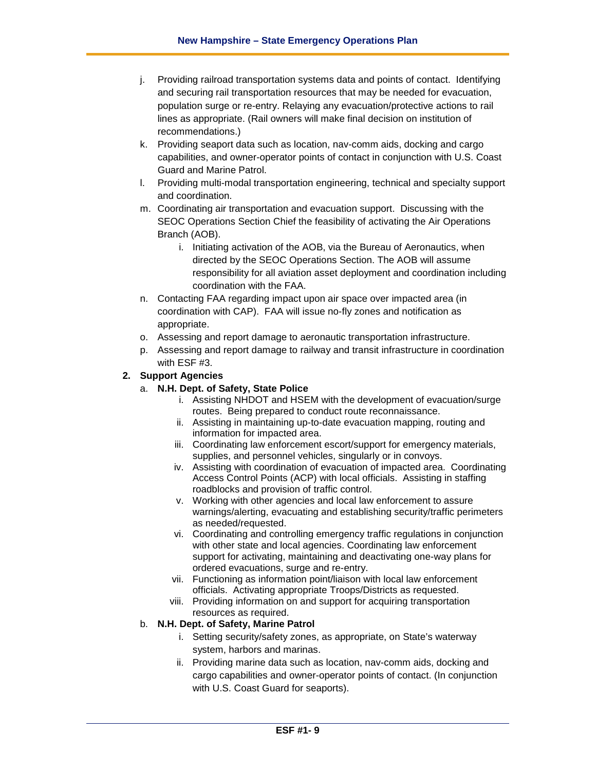- j. Providing railroad transportation systems data and points of contact. Identifying and securing rail transportation resources that may be needed for evacuation, population surge or re-entry. Relaying any evacuation/protective actions to rail lines as appropriate. (Rail owners will make final decision on institution of recommendations.)
- k. Providing seaport data such as location, nav-comm aids, docking and cargo capabilities, and owner-operator points of contact in conjunction with U.S. Coast Guard and Marine Patrol.
- l. Providing multi-modal transportation engineering, technical and specialty support and coordination.
- m. Coordinating air transportation and evacuation support. Discussing with the SEOC Operations Section Chief the feasibility of activating the Air Operations Branch (AOB).
	- i. Initiating activation of the AOB, via the Bureau of Aeronautics, when directed by the SEOC Operations Section. The AOB will assume responsibility for all aviation asset deployment and coordination including coordination with the FAA.
- n. Contacting FAA regarding impact upon air space over impacted area (in coordination with CAP). FAA will issue no-fly zones and notification as appropriate.
- o. Assessing and report damage to aeronautic transportation infrastructure.
- p. Assessing and report damage to railway and transit infrastructure in coordination with ESF #3.

## **2. Support Agencies**

- a. **N.H. Dept. of Safety, State Police**
	- i. Assisting NHDOT and HSEM with the development of evacuation/surge routes. Being prepared to conduct route reconnaissance.
	- ii. Assisting in maintaining up-to-date evacuation mapping, routing and information for impacted area.
	- iii. Coordinating law enforcement escort/support for emergency materials, supplies, and personnel vehicles, singularly or in convoys.
	- iv. Assisting with coordination of evacuation of impacted area. Coordinating Access Control Points (ACP) with local officials. Assisting in staffing roadblocks and provision of traffic control.
	- v. Working with other agencies and local law enforcement to assure warnings/alerting, evacuating and establishing security/traffic perimeters as needed/requested.
	- vi. Coordinating and controlling emergency traffic regulations in conjunction with other state and local agencies. Coordinating law enforcement support for activating, maintaining and deactivating one-way plans for ordered evacuations, surge and re-entry.
	- vii. Functioning as information point/liaison with local law enforcement officials. Activating appropriate Troops/Districts as requested.
	- viii. Providing information on and support for acquiring transportation resources as required.

#### b. **N.H. Dept. of Safety, Marine Patrol**

- i. Setting security/safety zones, as appropriate, on State's waterway system, harbors and marinas.
- ii. Providing marine data such as location, nav-comm aids, docking and cargo capabilities and owner-operator points of contact. (In conjunction with U.S. Coast Guard for seaports).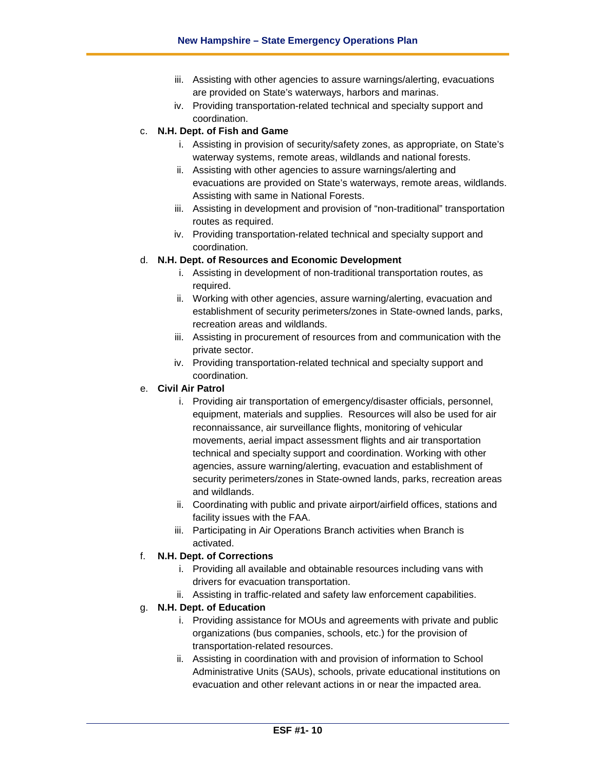- iii. Assisting with other agencies to assure warnings/alerting, evacuations are provided on State's waterways, harbors and marinas.
- iv. Providing transportation-related technical and specialty support and coordination.

#### c. **N.H. Dept. of Fish and Game**

- i. Assisting in provision of security/safety zones, as appropriate, on State's waterway systems, remote areas, wildlands and national forests.
- ii. Assisting with other agencies to assure warnings/alerting and evacuations are provided on State's waterways, remote areas, wildlands. Assisting with same in National Forests.
- iii. Assisting in development and provision of "non-traditional" transportation routes as required.
- iv. Providing transportation-related technical and specialty support and coordination.

## d. **N.H. Dept. of Resources and Economic Development**

- i. Assisting in development of non-traditional transportation routes, as required.
- ii. Working with other agencies, assure warning/alerting, evacuation and establishment of security perimeters/zones in State-owned lands, parks, recreation areas and wildlands.
- iii. Assisting in procurement of resources from and communication with the private sector.
- iv. Providing transportation-related technical and specialty support and coordination.

#### e. **Civil Air Patrol**

- i. Providing air transportation of emergency/disaster officials, personnel, equipment, materials and supplies. Resources will also be used for air reconnaissance, air surveillance flights, monitoring of vehicular movements, aerial impact assessment flights and air transportation technical and specialty support and coordination. Working with other agencies, assure warning/alerting, evacuation and establishment of security perimeters/zones in State-owned lands, parks, recreation areas and wildlands.
- ii. Coordinating with public and private airport/airfield offices, stations and facility issues with the FAA.
- iii. Participating in Air Operations Branch activities when Branch is activated.

#### f. **N.H. Dept. of Corrections**

- i. Providing all available and obtainable resources including vans with drivers for evacuation transportation.
- ii. Assisting in traffic-related and safety law enforcement capabilities.

# g. **N.H. Dept. of Education**

- i. Providing assistance for MOUs and agreements with private and public organizations (bus companies, schools, etc.) for the provision of transportation-related resources.
- ii. Assisting in coordination with and provision of information to School Administrative Units (SAUs), schools, private educational institutions on evacuation and other relevant actions in or near the impacted area.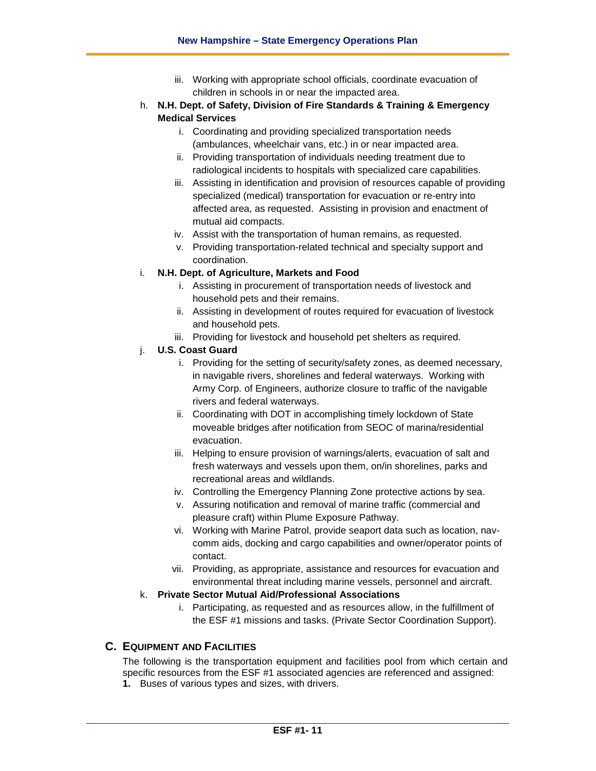- iii. Working with appropriate school officials, coordinate evacuation of children in schools in or near the impacted area.
- h. **N.H. Dept. of Safety, Division of Fire Standards & Training & Emergency Medical Services**
	- i. Coordinating and providing specialized transportation needs (ambulances, wheelchair vans, etc.) in or near impacted area.
	- ii. Providing transportation of individuals needing treatment due to radiological incidents to hospitals with specialized care capabilities.
	- iii. Assisting in identification and provision of resources capable of providing specialized (medical) transportation for evacuation or re-entry into affected area, as requested. Assisting in provision and enactment of mutual aid compacts.
	- iv. Assist with the transportation of human remains, as requested.
	- v. Providing transportation-related technical and specialty support and coordination.

#### i. **N.H. Dept. of Agriculture, Markets and Food**

- i. Assisting in procurement of transportation needs of livestock and household pets and their remains.
- ii. Assisting in development of routes required for evacuation of livestock and household pets.
- iii. Providing for livestock and household pet shelters as required.

#### j. **U.S. Coast Guard**

- i. Providing for the setting of security/safety zones, as deemed necessary, in navigable rivers, shorelines and federal waterways. Working with Army Corp. of Engineers, authorize closure to traffic of the navigable rivers and federal waterways.
- ii. Coordinating with DOT in accomplishing timely lockdown of State moveable bridges after notification from SEOC of marina/residential evacuation.
- iii. Helping to ensure provision of warnings/alerts, evacuation of salt and fresh waterways and vessels upon them, on/in shorelines, parks and recreational areas and wildlands.
- iv. Controlling the Emergency Planning Zone protective actions by sea.
- v. Assuring notification and removal of marine traffic (commercial and pleasure craft) within Plume Exposure Pathway.
- vi. Working with Marine Patrol, provide seaport data such as location, navcomm aids, docking and cargo capabilities and owner/operator points of contact.
- vii. Providing, as appropriate, assistance and resources for evacuation and environmental threat including marine vessels, personnel and aircraft.

#### k. **Private Sector Mutual Aid/Professional Associations**

i. Participating, as requested and as resources allow, in the fulfillment of the ESF #1 missions and tasks. (Private Sector Coordination Support).

# **C. EQUIPMENT AND FACILITIES**

The following is the transportation equipment and facilities pool from which certain and specific resources from the ESF #1 associated agencies are referenced and assigned: **1.** Buses of various types and sizes, with drivers.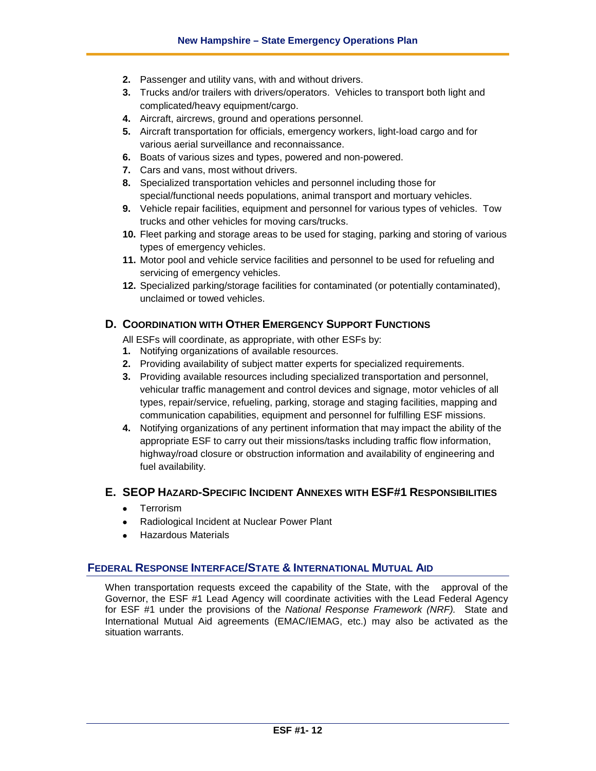- **2.** Passenger and utility vans, with and without drivers.
- **3.** Trucks and/or trailers with drivers/operators. Vehicles to transport both light and complicated/heavy equipment/cargo.
- **4.** Aircraft, aircrews, ground and operations personnel.
- **5.** Aircraft transportation for officials, emergency workers, light-load cargo and for various aerial surveillance and reconnaissance.
- **6.** Boats of various sizes and types, powered and non-powered.
- **7.** Cars and vans, most without drivers.
- **8.** Specialized transportation vehicles and personnel including those for special/functional needs populations, animal transport and mortuary vehicles.
- **9.** Vehicle repair facilities, equipment and personnel for various types of vehicles. Tow trucks and other vehicles for moving cars/trucks.
- **10.** Fleet parking and storage areas to be used for staging, parking and storing of various types of emergency vehicles.
- **11.** Motor pool and vehicle service facilities and personnel to be used for refueling and servicing of emergency vehicles.
- **12.** Specialized parking/storage facilities for contaminated (or potentially contaminated), unclaimed or towed vehicles.

## **D. COORDINATION WITH OTHER EMERGENCY SUPPORT FUNCTIONS**

All ESFs will coordinate, as appropriate, with other ESFs by:

- **1.** Notifying organizations of available resources.
- **2.** Providing availability of subject matter experts for specialized requirements.
- **3.** Providing available resources including specialized transportation and personnel, vehicular traffic management and control devices and signage, motor vehicles of all types, repair/service, refueling, parking, storage and staging facilities, mapping and communication capabilities, equipment and personnel for fulfilling ESF missions.
- **4.** Notifying organizations of any pertinent information that may impact the ability of the appropriate ESF to carry out their missions/tasks including traffic flow information, highway/road closure or obstruction information and availability of engineering and fuel availability.

#### **E. SEOP HAZARD-SPECIFIC INCIDENT ANNEXES WITH ESF#1 RESPONSIBILITIES**

- Terrorism
- Radiological Incident at Nuclear Power Plant
- Hazardous Materials

#### **FEDERAL RESPONSE INTERFACE/STATE & INTERNATIONAL MUTUAL AID**

When transportation requests exceed the capability of the State, with the approval of the Governor, the ESF #1 Lead Agency will coordinate activities with the Lead Federal Agency for ESF #1 under the provisions of the *National Response Framework (NRF).* State and International Mutual Aid agreements (EMAC/IEMAG, etc.) may also be activated as the situation warrants.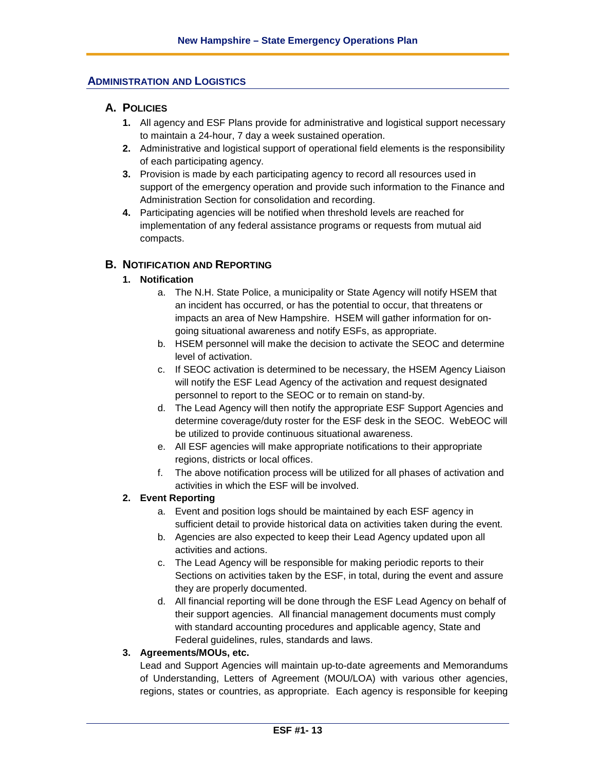#### **ADMINISTRATION AND LOGISTICS**

#### **A. POLICIES**

- **1.** All agency and ESF Plans provide for administrative and logistical support necessary to maintain a 24-hour, 7 day a week sustained operation.
- **2.** Administrative and logistical support of operational field elements is the responsibility of each participating agency.
- **3.** Provision is made by each participating agency to record all resources used in support of the emergency operation and provide such information to the Finance and Administration Section for consolidation and recording.
- **4.** Participating agencies will be notified when threshold levels are reached for implementation of any federal assistance programs or requests from mutual aid compacts.

#### **B. NOTIFICATION AND REPORTING**

#### **1. Notification**

- a. The N.H. State Police, a municipality or State Agency will notify HSEM that an incident has occurred, or has the potential to occur, that threatens or impacts an area of New Hampshire. HSEM will gather information for ongoing situational awareness and notify ESFs, as appropriate.
- b. HSEM personnel will make the decision to activate the SEOC and determine level of activation.
- c. If SEOC activation is determined to be necessary, the HSEM Agency Liaison will notify the ESF Lead Agency of the activation and request designated personnel to report to the SEOC or to remain on stand-by.
- d. The Lead Agency will then notify the appropriate ESF Support Agencies and determine coverage/duty roster for the ESF desk in the SEOC. WebEOC will be utilized to provide continuous situational awareness.
- e. All ESF agencies will make appropriate notifications to their appropriate regions, districts or local offices.
- f. The above notification process will be utilized for all phases of activation and activities in which the ESF will be involved.

#### **2. Event Reporting**

- a. Event and position logs should be maintained by each ESF agency in sufficient detail to provide historical data on activities taken during the event.
- b. Agencies are also expected to keep their Lead Agency updated upon all activities and actions.
- c. The Lead Agency will be responsible for making periodic reports to their Sections on activities taken by the ESF, in total, during the event and assure they are properly documented.
- d. All financial reporting will be done through the ESF Lead Agency on behalf of their support agencies. All financial management documents must comply with standard accounting procedures and applicable agency, State and Federal guidelines, rules, standards and laws.

#### **3. Agreements/MOUs, etc.**

Lead and Support Agencies will maintain up-to-date agreements and Memorandums of Understanding, Letters of Agreement (MOU/LOA) with various other agencies, regions, states or countries, as appropriate. Each agency is responsible for keeping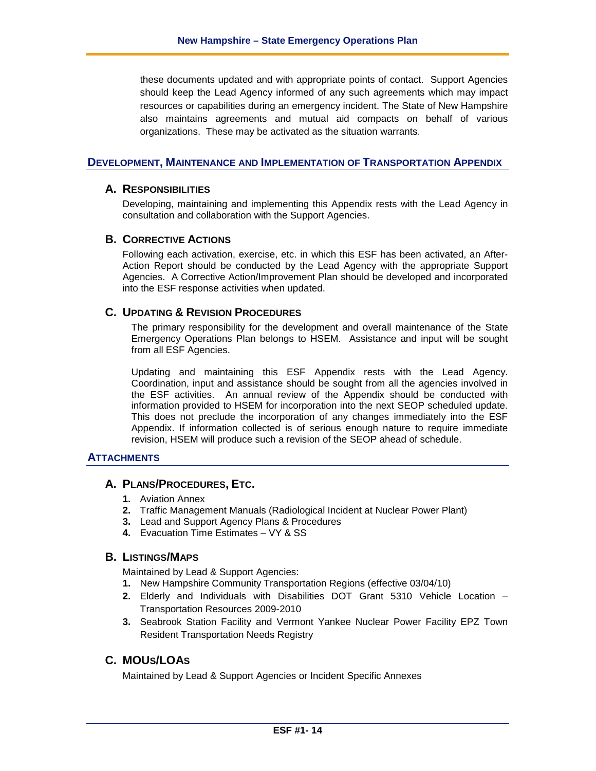these documents updated and with appropriate points of contact. Support Agencies should keep the Lead Agency informed of any such agreements which may impact resources or capabilities during an emergency incident. The State of New Hampshire also maintains agreements and mutual aid compacts on behalf of various organizations. These may be activated as the situation warrants.

#### **DEVELOPMENT, MAINTENANCE AND IMPLEMENTATION OF TRANSPORTATION APPENDIX**

#### **A. RESPONSIBILITIES**

Developing, maintaining and implementing this Appendix rests with the Lead Agency in consultation and collaboration with the Support Agencies.

#### **B. CORRECTIVE ACTIONS**

Following each activation, exercise, etc. in which this ESF has been activated, an After-Action Report should be conducted by the Lead Agency with the appropriate Support Agencies. A Corrective Action/Improvement Plan should be developed and incorporated into the ESF response activities when updated.

#### **C. UPDATING & REVISION PROCEDURES**

The primary responsibility for the development and overall maintenance of the State Emergency Operations Plan belongs to HSEM. Assistance and input will be sought from all ESF Agencies.

Updating and maintaining this ESF Appendix rests with the Lead Agency. Coordination, input and assistance should be sought from all the agencies involved in the ESF activities. An annual review of the Appendix should be conducted with information provided to HSEM for incorporation into the next SEOP scheduled update. This does not preclude the incorporation of any changes immediately into the ESF Appendix. If information collected is of serious enough nature to require immediate revision, HSEM will produce such a revision of the SEOP ahead of schedule.

#### **ATTACHMENTS**

#### **A. PLANS/PROCEDURES, ETC.**

- **1.** Aviation Annex
- **2.** Traffic Management Manuals (Radiological Incident at Nuclear Power Plant)
- **3.** Lead and Support Agency Plans & Procedures
- **4.** Evacuation Time Estimates VY & SS

## **B. LISTINGS/MAPS**

Maintained by Lead & Support Agencies:

- **1.** New Hampshire Community Transportation Regions (effective 03/04/10)
- **2.** Elderly and Individuals with Disabilities DOT Grant 5310 Vehicle Location Transportation Resources 2009-2010
- **3.** Seabrook Station Facility and Vermont Yankee Nuclear Power Facility EPZ Town Resident Transportation Needs Registry

## **C. MOUS/LOAS**

Maintained by Lead & Support Agencies or Incident Specific Annexes